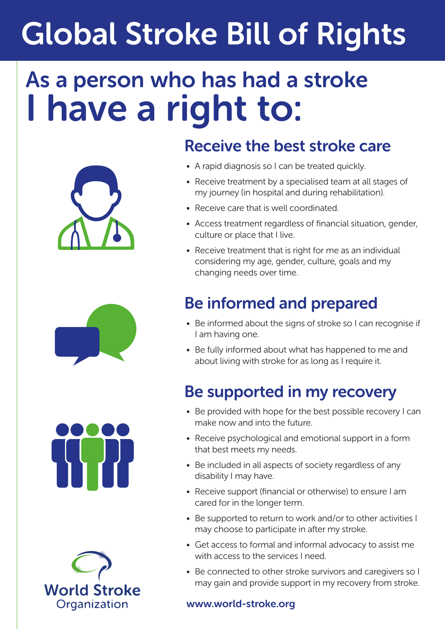# Global Stroke Bill of Rights

## As a person who has had a stroke I have a right to:









#### Receive the best stroke care

- A rapid diagnosis so I can be treated quickly.
- Receive treatment by a specialised team at all stages of my journey (in hospital and during rehabilitation).
- Receive care that is well coordinated.
- Access treatment regardless of financial situation, gender, culture or place that I live.
- Receive treatment that is right for me as an individual considering my age, gender, culture, goals and my changing needs over time.

### Be informed and prepared

- Be informed about the signs of stroke so I can recognise if I am having one.
- Be fully informed about what has happened to me and about living with stroke for as long as I require it.

### Be supported in my recovery

- Be provided with hope for the best possible recovery I can make now and into the future.
- Receive psychological and emotional support in a form that best meets my needs.
- Be included in all aspects of society regardless of any disability I may have.
- Receive support (financial or otherwise) to ensure I am cared for in the longer term.
- Be supported to return to work and/or to other activities I may choose to participate in after my stroke.
- Get access to formal and informal advocacy to assist me with access to the services I need.
- Be connected to other stroke survivors and caregivers so I may gain and provide support in my recovery from stroke.

#### www.world-stroke.org